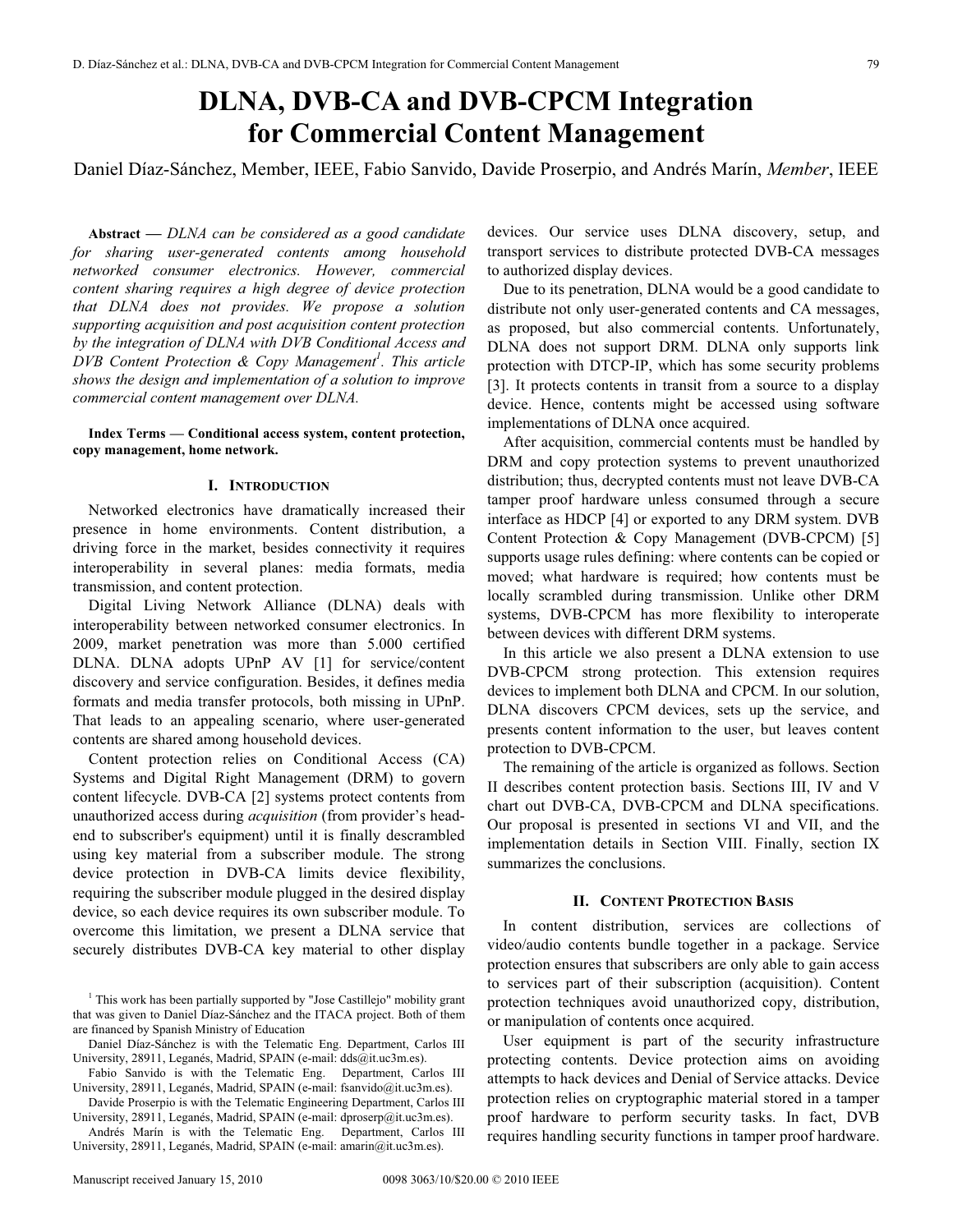# **DLNA, DVB-CA and DVB-CPCM Integration for Commercial Content Management**

Daniel Díaz-Sánchez, Member, IEEE, Fabio Sanvido, Davide Proserpio, and Andrés Marín, *Member*, IEEE

**Abstract** *— DLNA can be considered as a good candidate for sharing user-generated contents among household networked consumer electronics. However, commercial content sharing requires a high degree of device protection that DLNA does not provides. We propose a solution supporting acquisition and post acquisition content protection by the integration of DLNA with DVB Conditional Access and*  **DVB Content Protection & Copy Management<sup>1</sup>. This article** *shows the design and implementation of a solution to improve commercial content management over DLNA.* 

**Index Terms — Conditional access system, content protection, copy management, home network.** 

# **I. INTRODUCTION**

Networked electronics have dramatically increased their presence in home environments. Content distribution, a driving force in the market, besides connectivity it requires interoperability in several planes: media formats, media transmission, and content protection.

Digital Living Network Alliance (DLNA) deals with interoperability between networked consumer electronics. In 2009, market penetration was more than 5.000 certified DLNA. DLNA adopts UPnP AV [1] for service/content discovery and service configuration. Besides, it defines media formats and media transfer protocols, both missing in UPnP. That leads to an appealing scenario, where user-generated contents are shared among household devices.

Content protection relies on Conditional Access (CA) Systems and Digital Right Management (DRM) to govern content lifecycle. DVB-CA [2] systems protect contents from unauthorized access during *acquisition* (from provider's headend to subscriber's equipment) until it is finally descrambled using key material from a subscriber module. The strong device protection in DVB-CA limits device flexibility, requiring the subscriber module plugged in the desired display device, so each device requires its own subscriber module. To overcome this limitation, we present a DLNA service that securely distributes DVB-CA key material to other display

<sup>1</sup> This work has been partially supported by "Jose Castillejo" mobility grant that was given to Daniel Díaz-Sánchez and the ITACA project. Both of them are financed by Spanish Ministry of Education

Daniel Díaz-Sánchez is with the Telematic Eng. Department, Carlos III University, 28911, Leganés, Madrid, SPAIN (e-mail: dds@it.uc3m.es).

Fabio Sanvido is with the Telematic Eng. Department, Carlos III University, 28911, Leganés, Madrid, SPAIN (e-mail: fsanvido@it.uc3m.es).

Davide Proserpio is with the Telematic Engineering Department, Carlos III University, 28911, Leganés, Madrid, SPAIN (e-mail: dproserp@it.uc3m.es).

Andrés Marín is with the Telematic Eng. Department, Carlos III University, 28911, Leganés, Madrid, SPAIN (e-mail: amarin@it.uc3m.es).

# devices. Our service uses DLNA discovery, setup, and transport services to distribute protected DVB-CA messages to authorized display devices.

Due to its penetration, DLNA would be a good candidate to distribute not only user-generated contents and CA messages, as proposed, but also commercial contents. Unfortunately, DLNA does not support DRM. DLNA only supports link protection with DTCP-IP, which has some security problems [3]. It protects contents in transit from a source to a display device. Hence, contents might be accessed using software implementations of DLNA once acquired.

After acquisition, commercial contents must be handled by DRM and copy protection systems to prevent unauthorized distribution; thus, decrypted contents must not leave DVB-CA tamper proof hardware unless consumed through a secure interface as HDCP [4] or exported to any DRM system. DVB Content Protection & Copy Management (DVB-CPCM) [5] supports usage rules defining: where contents can be copied or moved; what hardware is required; how contents must be locally scrambled during transmission. Unlike other DRM systems, DVB-CPCM has more flexibility to interoperate between devices with different DRM systems.

In this article we also present a DLNA extension to use DVB-CPCM strong protection. This extension requires devices to implement both DLNA and CPCM. In our solution, DLNA discovers CPCM devices, sets up the service, and presents content information to the user, but leaves content protection to DVB-CPCM.

The remaining of the article is organized as follows. Section II describes content protection basis. Sections III, IV and V chart out DVB-CA, DVB-CPCM and DLNA specifications. Our proposal is presented in sections VI and VII, and the implementation details in Section VIII. Finally, section IX summarizes the conclusions.

# **II. CONTENT PROTECTION BASIS**

In content distribution, services are collections of video/audio contents bundle together in a package. Service protection ensures that subscribers are only able to gain access to services part of their subscription (acquisition). Content protection techniques avoid unauthorized copy, distribution, or manipulation of contents once acquired.

User equipment is part of the security infrastructure protecting contents. Device protection aims on avoiding attempts to hack devices and Denial of Service attacks. Device protection relies on cryptographic material stored in a tamper proof hardware to perform security tasks. In fact, DVB requires handling security functions in tamper proof hardware.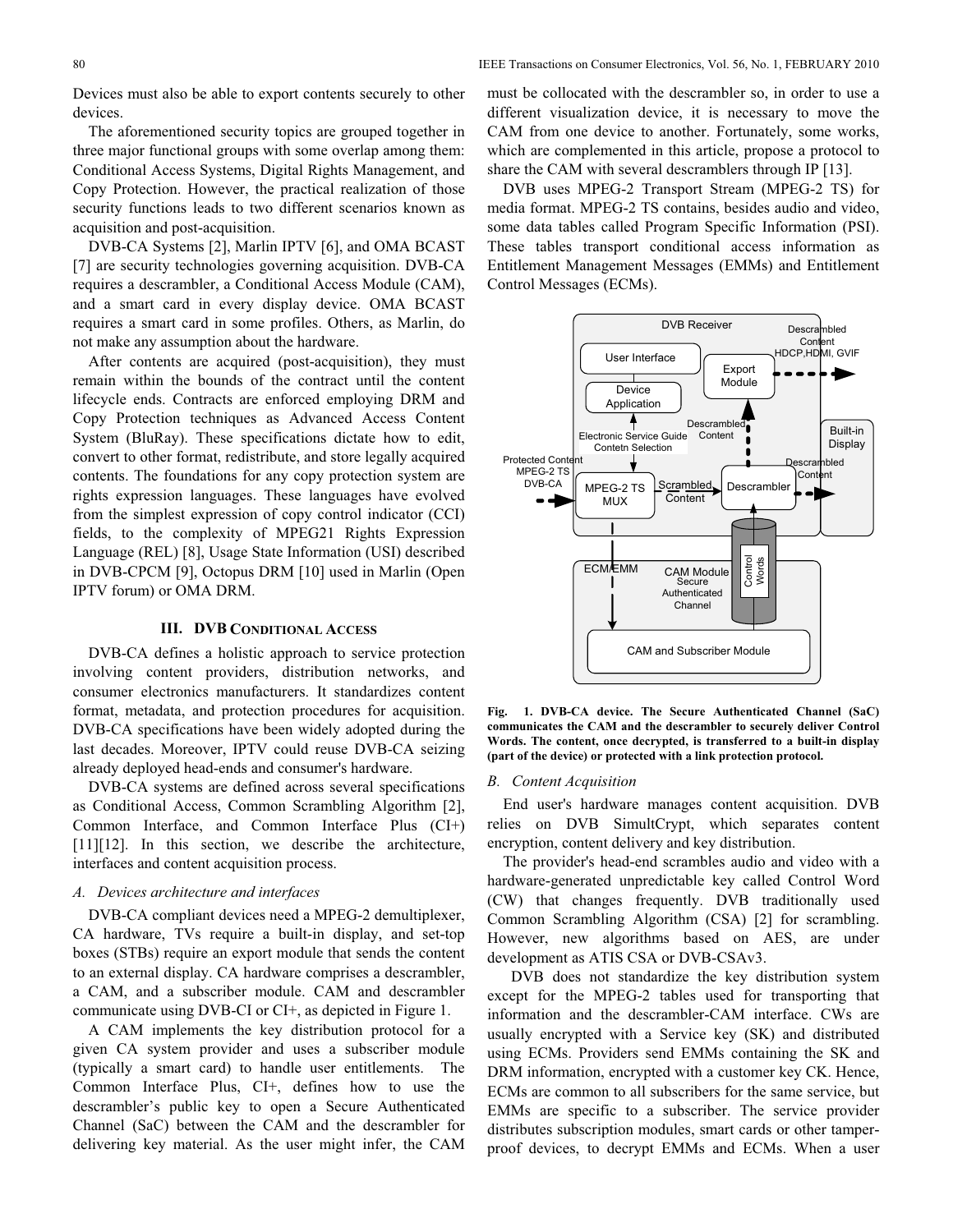Devices must also be able to export contents securely to other devices.

The aforementioned security topics are grouped together in three major functional groups with some overlap among them: Conditional Access Systems, Digital Rights Management, and Copy Protection. However, the practical realization of those security functions leads to two different scenarios known as acquisition and post-acquisition.

DVB-CA Systems [2], Marlin IPTV [6], and OMA BCAST [7] are security technologies governing acquisition. DVB-CA requires a descrambler, a Conditional Access Module (CAM), and a smart card in every display device. OMA BCAST requires a smart card in some profiles. Others, as Marlin, do not make any assumption about the hardware.

After contents are acquired (post-acquisition), they must remain within the bounds of the contract until the content lifecycle ends. Contracts are enforced employing DRM and Copy Protection techniques as Advanced Access Content System (BluRay). These specifications dictate how to edit, convert to other format, redistribute, and store legally acquired contents. The foundations for any copy protection system are rights expression languages. These languages have evolved from the simplest expression of copy control indicator (CCI) fields, to the complexity of MPEG21 Rights Expression Language (REL) [8], Usage State Information (USI) described in DVB-CPCM [9], Octopus DRM [10] used in Marlin (Open IPTV forum) or OMA DRM.

## **III. DVB CONDITIONAL ACCESS**

DVB-CA defines a holistic approach to service protection involving content providers, distribution networks, and consumer electronics manufacturers. It standardizes content format, metadata, and protection procedures for acquisition. DVB-CA specifications have been widely adopted during the last decades. Moreover, IPTV could reuse DVB-CA seizing already deployed head-ends and consumer's hardware.

DVB-CA systems are defined across several specifications as Conditional Access, Common Scrambling Algorithm [2], Common Interface, and Common Interface Plus (CI+) [11][12]. In this section, we describe the architecture, interfaces and content acquisition process.

#### *A. Devices architecture and interfaces*

DVB-CA compliant devices need a MPEG-2 demultiplexer, CA hardware, TVs require a built-in display, and set-top boxes (STBs) require an export module that sends the content to an external display. CA hardware comprises a descrambler, a CAM, and a subscriber module. CAM and descrambler communicate using DVB-CI or CI+, as depicted in Figure 1.

A CAM implements the key distribution protocol for a given CA system provider and uses a subscriber module (typically a smart card) to handle user entitlements. The Common Interface Plus, CI+, defines how to use the descrambler's public key to open a Secure Authenticated Channel (SaC) between the CAM and the descrambler for delivering key material. As the user might infer, the CAM

must be collocated with the descrambler so, in order to use a different visualization device, it is necessary to move the CAM from one device to another. Fortunately, some works, which are complemented in this article, propose a protocol to share the CAM with several descramblers through IP [13].

DVB uses MPEG-2 Transport Stream (MPEG-2 TS) for media format. MPEG-2 TS contains, besides audio and video, some data tables called Program Specific Information (PSI). These tables transport conditional access information as Entitlement Management Messages (EMMs) and Entitlement Control Messages (ECMs).



**Fig. 1. DVB-CA device. The Secure Authenticated Channel (SaC) communicates the CAM and the descrambler to securely deliver Control Words. The content, once decrypted, is transferred to a built-in display (part of the device) or protected with a link protection protocol.** 

# *B. Content Acquisition*

End user's hardware manages content acquisition. DVB relies on DVB SimultCrypt, which separates content encryption, content delivery and key distribution.

The provider's head-end scrambles audio and video with a hardware-generated unpredictable key called Control Word (CW) that changes frequently. DVB traditionally used Common Scrambling Algorithm (CSA) [2] for scrambling. However, new algorithms based on AES, are under development as ATIS CSA or DVB-CSAv3.

 DVB does not standardize the key distribution system except for the MPEG-2 tables used for transporting that information and the descrambler-CAM interface. CWs are usually encrypted with a Service key (SK) and distributed using ECMs. Providers send EMMs containing the SK and DRM information, encrypted with a customer key CK. Hence, ECMs are common to all subscribers for the same service, but EMMs are specific to a subscriber. The service provider distributes subscription modules, smart cards or other tamperproof devices, to decrypt EMMs and ECMs. When a user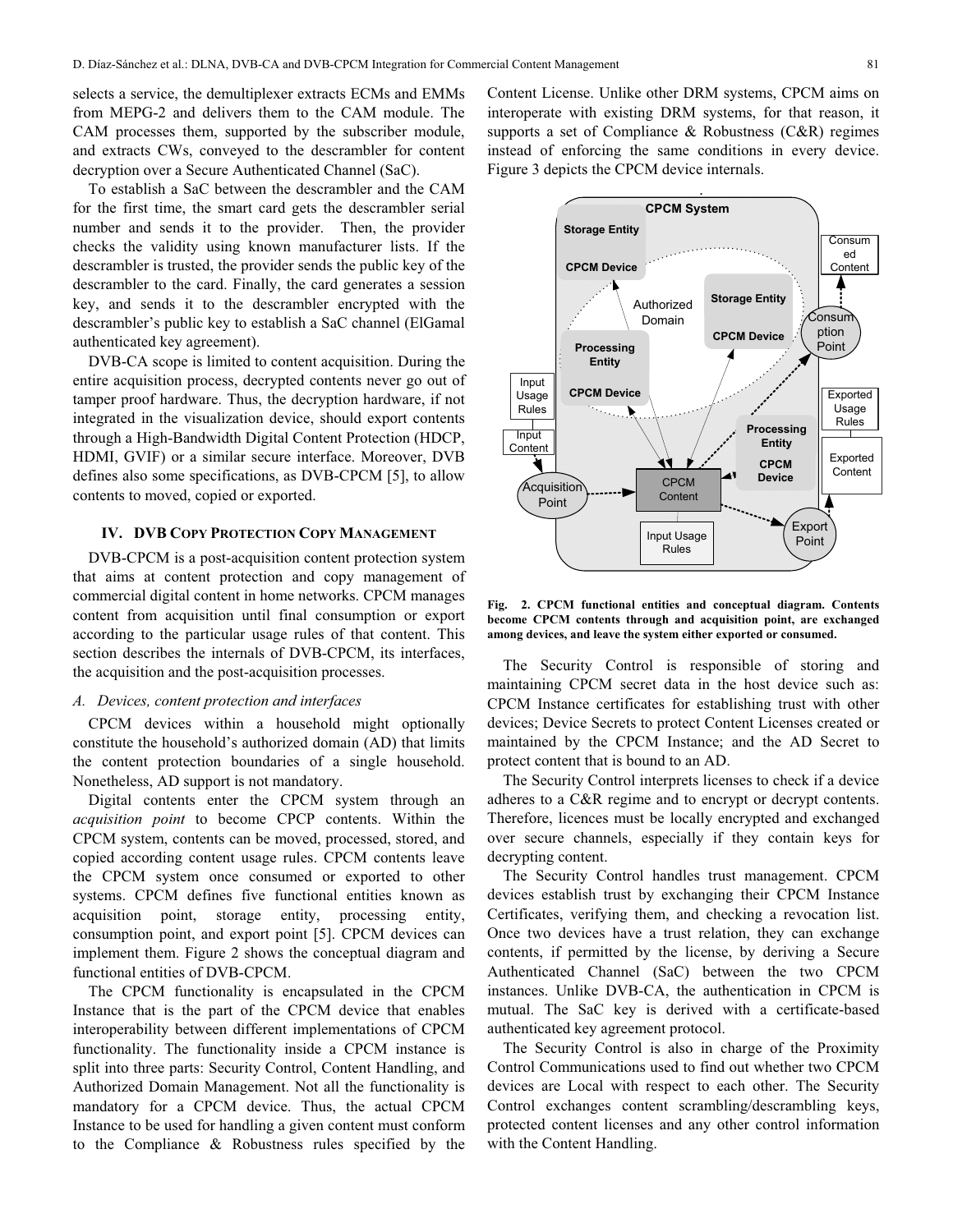selects a service, the demultiplexer extracts ECMs and EMMs from MEPG-2 and delivers them to the CAM module. The CAM processes them, supported by the subscriber module, and extracts CWs, conveyed to the descrambler for content decryption over a Secure Authenticated Channel (SaC).

To establish a SaC between the descrambler and the CAM for the first time, the smart card gets the descrambler serial number and sends it to the provider. Then, the provider checks the validity using known manufacturer lists. If the descrambler is trusted, the provider sends the public key of the descrambler to the card. Finally, the card generates a session key, and sends it to the descrambler encrypted with the descrambler's public key to establish a SaC channel (ElGamal authenticated key agreement).

DVB-CA scope is limited to content acquisition. During the entire acquisition process, decrypted contents never go out of tamper proof hardware. Thus, the decryption hardware, if not integrated in the visualization device, should export contents through a High-Bandwidth Digital Content Protection (HDCP, HDMI, GVIF) or a similar secure interface. Moreover, DVB defines also some specifications, as DVB-CPCM [5], to allow contents to moved, copied or exported.

# **IV. DVB COPY PROTECTION COPY MANAGEMENT**

DVB-CPCM is a post-acquisition content protection system that aims at content protection and copy management of commercial digital content in home networks. CPCM manages content from acquisition until final consumption or export according to the particular usage rules of that content. This section describes the internals of DVB-CPCM, its interfaces, the acquisition and the post-acquisition processes.

#### *A. Devices, content protection and interfaces*

CPCM devices within a household might optionally constitute the household's authorized domain (AD) that limits the content protection boundaries of a single household. Nonetheless, AD support is not mandatory.

Digital contents enter the CPCM system through an *acquisition point* to become CPCP contents. Within the CPCM system, contents can be moved, processed, stored, and copied according content usage rules. CPCM contents leave the CPCM system once consumed or exported to other systems. CPCM defines five functional entities known as acquisition point, storage entity, processing entity, consumption point, and export point [5]. CPCM devices can implement them. Figure 2 shows the conceptual diagram and functional entities of DVB-CPCM.

The CPCM functionality is encapsulated in the CPCM Instance that is the part of the CPCM device that enables interoperability between different implementations of CPCM functionality. The functionality inside a CPCM instance is split into three parts: Security Control, Content Handling, and Authorized Domain Management. Not all the functionality is mandatory for a CPCM device. Thus, the actual CPCM Instance to be used for handling a given content must conform to the Compliance & Robustness rules specified by the Content License. Unlike other DRM systems, CPCM aims on interoperate with existing DRM systems, for that reason, it supports a set of Compliance & Robustness (C&R) regimes instead of enforcing the same conditions in every device. Figure 3 depicts the CPCM device internals.



**Fig. 2. CPCM functional entities and conceptual diagram. Contents become CPCM contents through and acquisition point, are exchanged among devices, and leave the system either exported or consumed.** 

The Security Control is responsible of storing and maintaining CPCM secret data in the host device such as: CPCM Instance certificates for establishing trust with other devices; Device Secrets to protect Content Licenses created or maintained by the CPCM Instance; and the AD Secret to protect content that is bound to an AD.

The Security Control interprets licenses to check if a device adheres to a C&R regime and to encrypt or decrypt contents. Therefore, licences must be locally encrypted and exchanged over secure channels, especially if they contain keys for decrypting content.

The Security Control handles trust management. CPCM devices establish trust by exchanging their CPCM Instance Certificates, verifying them, and checking a revocation list. Once two devices have a trust relation, they can exchange contents, if permitted by the license, by deriving a Secure Authenticated Channel (SaC) between the two CPCM instances. Unlike DVB-CA, the authentication in CPCM is mutual. The SaC key is derived with a certificate-based authenticated key agreement protocol.

The Security Control is also in charge of the Proximity Control Communications used to find out whether two CPCM devices are Local with respect to each other. The Security Control exchanges content scrambling/descrambling keys, protected content licenses and any other control information with the Content Handling.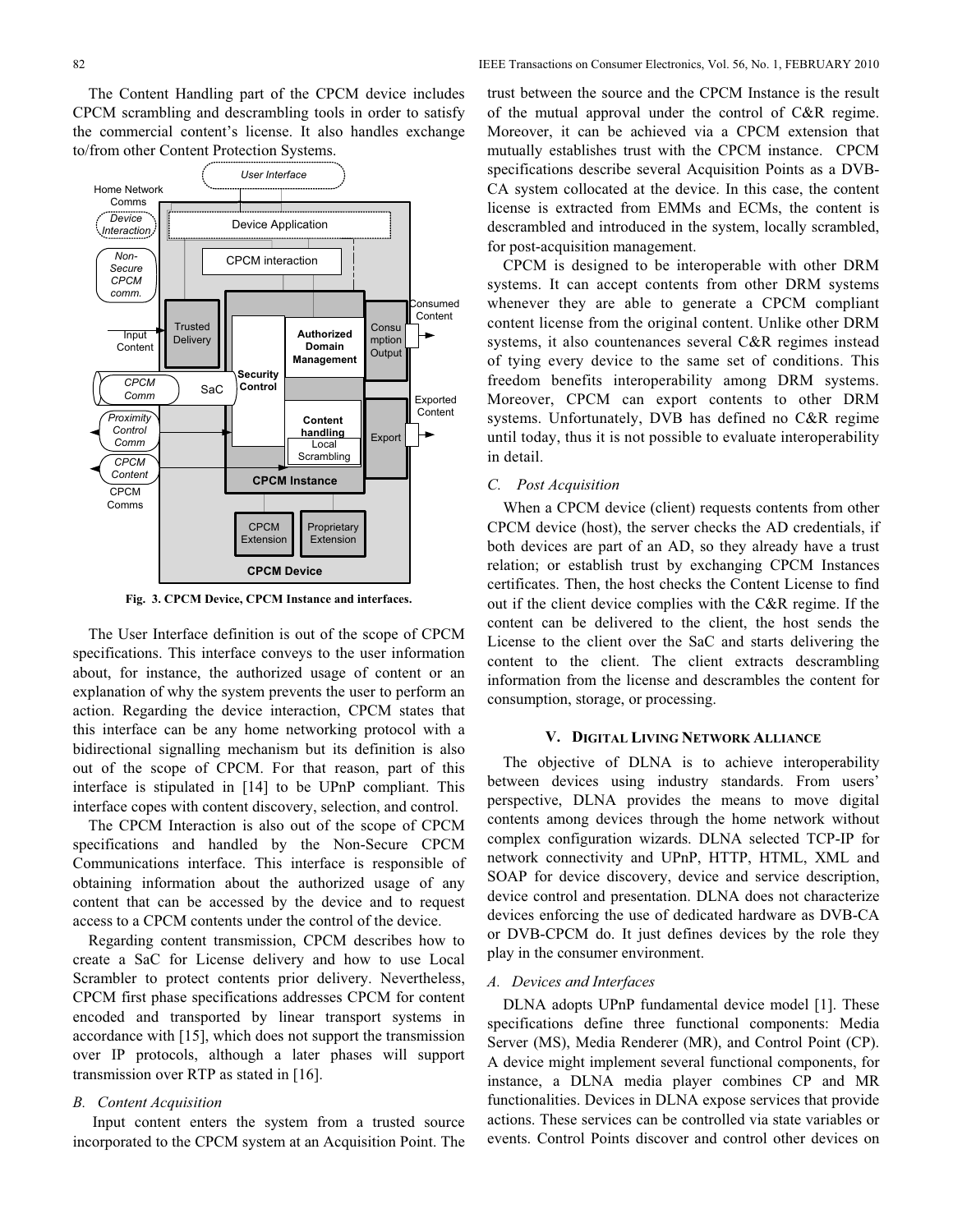The Content Handling part of the CPCM device includes CPCM scrambling and descrambling tools in order to satisfy the commercial content's license. It also handles exchange to/from other Content Protection Systems.



**Fig. 3. CPCM Device, CPCM Instance and interfaces.** 

The User Interface definition is out of the scope of CPCM specifications. This interface conveys to the user information about, for instance, the authorized usage of content or an explanation of why the system prevents the user to perform an action. Regarding the device interaction, CPCM states that this interface can be any home networking protocol with a bidirectional signalling mechanism but its definition is also out of the scope of CPCM. For that reason, part of this interface is stipulated in [14] to be UPnP compliant. This interface copes with content discovery, selection, and control.

The CPCM Interaction is also out of the scope of CPCM specifications and handled by the Non-Secure CPCM Communications interface. This interface is responsible of obtaining information about the authorized usage of any content that can be accessed by the device and to request access to a CPCM contents under the control of the device.

Regarding content transmission, CPCM describes how to create a SaC for License delivery and how to use Local Scrambler to protect contents prior delivery. Nevertheless, CPCM first phase specifications addresses CPCM for content encoded and transported by linear transport systems in accordance with [15], which does not support the transmission over IP protocols, although a later phases will support transmission over RTP as stated in [16].

# *B. Content Acquisition*

 Input content enters the system from a trusted source incorporated to the CPCM system at an Acquisition Point. The trust between the source and the CPCM Instance is the result of the mutual approval under the control of C&R regime. Moreover, it can be achieved via a CPCM extension that mutually establishes trust with the CPCM instance. CPCM specifications describe several Acquisition Points as a DVB-CA system collocated at the device. In this case, the content license is extracted from EMMs and ECMs, the content is descrambled and introduced in the system, locally scrambled, for post-acquisition management.

CPCM is designed to be interoperable with other DRM systems. It can accept contents from other DRM systems whenever they are able to generate a CPCM compliant content license from the original content. Unlike other DRM systems, it also countenances several C&R regimes instead of tying every device to the same set of conditions. This freedom benefits interoperability among DRM systems. Moreover, CPCM can export contents to other DRM systems. Unfortunately, DVB has defined no C&R regime until today, thus it is not possible to evaluate interoperability in detail.

# *C. Post Acquisition*

When a CPCM device (client) requests contents from other CPCM device (host), the server checks the AD credentials, if both devices are part of an AD, so they already have a trust relation; or establish trust by exchanging CPCM Instances certificates. Then, the host checks the Content License to find out if the client device complies with the C&R regime. If the content can be delivered to the client, the host sends the License to the client over the SaC and starts delivering the content to the client. The client extracts descrambling information from the license and descrambles the content for consumption, storage, or processing.

# **V. DIGITAL LIVING NETWORK ALLIANCE**

The objective of DLNA is to achieve interoperability between devices using industry standards. From users' perspective, DLNA provides the means to move digital contents among devices through the home network without complex configuration wizards. DLNA selected TCP-IP for network connectivity and UPnP, HTTP, HTML, XML and SOAP for device discovery, device and service description, device control and presentation. DLNA does not characterize devices enforcing the use of dedicated hardware as DVB-CA or DVB-CPCM do. It just defines devices by the role they play in the consumer environment.

# *A. Devices and Interfaces*

DLNA adopts UPnP fundamental device model [1]. These specifications define three functional components: Media Server (MS), Media Renderer (MR), and Control Point (CP). A device might implement several functional components, for instance, a DLNA media player combines CP and MR functionalities. Devices in DLNA expose services that provide actions. These services can be controlled via state variables or events. Control Points discover and control other devices on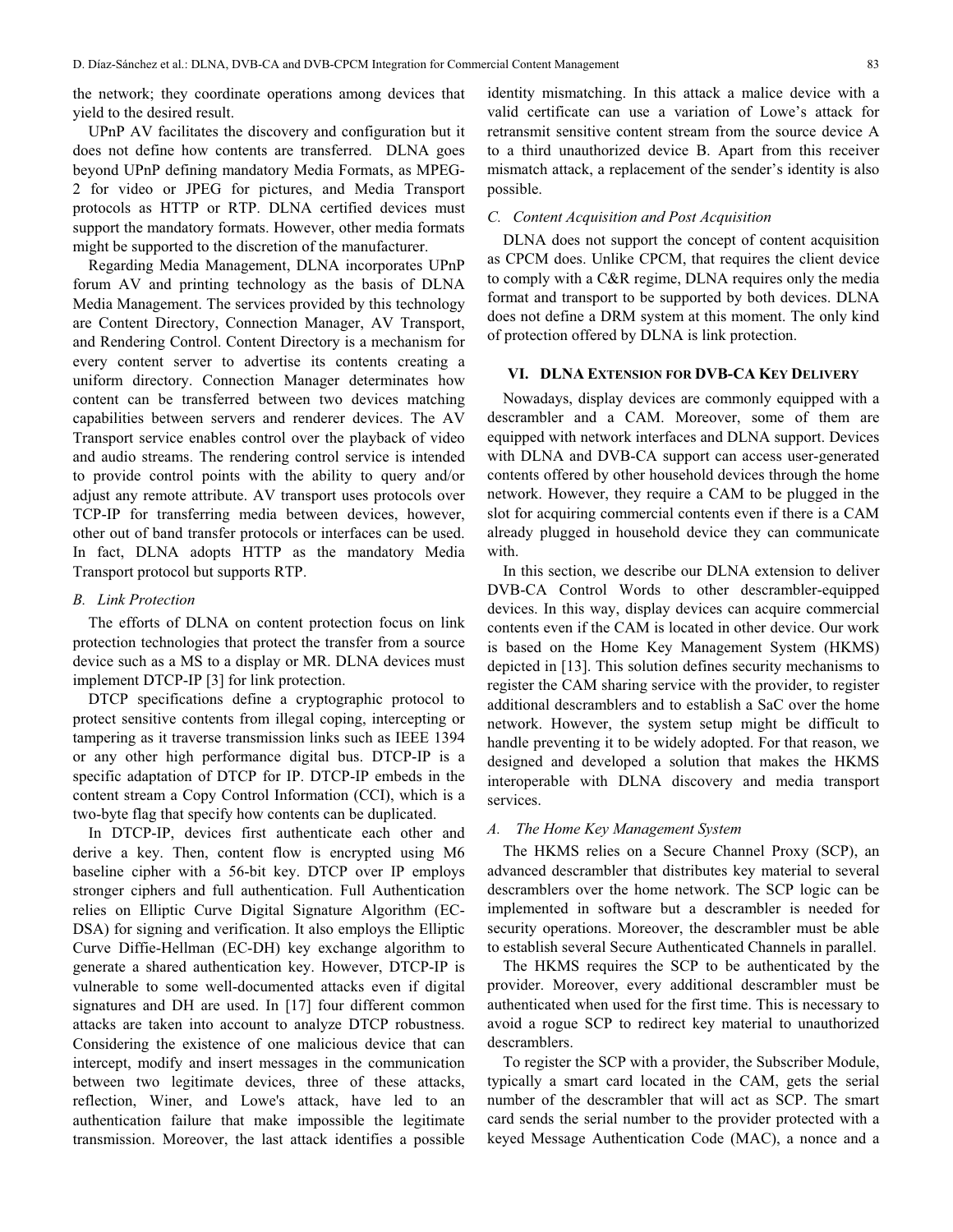the network; they coordinate operations among devices that yield to the desired result.

UPnP AV facilitates the discovery and configuration but it does not define how contents are transferred. DLNA goes beyond UPnP defining mandatory Media Formats, as MPEG-2 for video or JPEG for pictures, and Media Transport protocols as HTTP or RTP. DLNA certified devices must support the mandatory formats. However, other media formats might be supported to the discretion of the manufacturer.

Regarding Media Management, DLNA incorporates UPnP forum AV and printing technology as the basis of DLNA Media Management. The services provided by this technology are Content Directory, Connection Manager, AV Transport, and Rendering Control. Content Directory is a mechanism for every content server to advertise its contents creating a uniform directory. Connection Manager determinates how content can be transferred between two devices matching capabilities between servers and renderer devices. The AV Transport service enables control over the playback of video and audio streams. The rendering control service is intended to provide control points with the ability to query and/or adjust any remote attribute. AV transport uses protocols over TCP-IP for transferring media between devices, however, other out of band transfer protocols or interfaces can be used. In fact, DLNA adopts HTTP as the mandatory Media Transport protocol but supports RTP.

# *B. Link Protection*

The efforts of DLNA on content protection focus on link protection technologies that protect the transfer from a source device such as a MS to a display or MR. DLNA devices must implement DTCP-IP [3] for link protection.

DTCP specifications define a cryptographic protocol to protect sensitive contents from illegal coping, intercepting or tampering as it traverse transmission links such as IEEE 1394 or any other high performance digital bus. DTCP-IP is a specific adaptation of DTCP for IP. DTCP-IP embeds in the content stream a Copy Control Information (CCI), which is a two-byte flag that specify how contents can be duplicated.

In DTCP-IP, devices first authenticate each other and derive a key. Then, content flow is encrypted using M6 baseline cipher with a 56-bit key. DTCP over IP employs stronger ciphers and full authentication. Full Authentication relies on Elliptic Curve Digital Signature Algorithm (EC-DSA) for signing and verification. It also employs the Elliptic Curve Diffie-Hellman (EC-DH) key exchange algorithm to generate a shared authentication key. However, DTCP-IP is vulnerable to some well-documented attacks even if digital signatures and DH are used. In [17] four different common attacks are taken into account to analyze DTCP robustness. Considering the existence of one malicious device that can intercept, modify and insert messages in the communication between two legitimate devices, three of these attacks, reflection, Winer, and Lowe's attack, have led to an authentication failure that make impossible the legitimate transmission. Moreover, the last attack identifies a possible identity mismatching. In this attack a malice device with a valid certificate can use a variation of Lowe's attack for retransmit sensitive content stream from the source device A to a third unauthorized device B. Apart from this receiver mismatch attack, a replacement of the sender's identity is also possible.

#### *C. Content Acquisition and Post Acquisition*

DLNA does not support the concept of content acquisition as CPCM does. Unlike CPCM, that requires the client device to comply with a C&R regime, DLNA requires only the media format and transport to be supported by both devices. DLNA does not define a DRM system at this moment. The only kind of protection offered by DLNA is link protection.

## **VI. DLNA EXTENSION FOR DVB-CA KEY DELIVERY**

Nowadays, display devices are commonly equipped with a descrambler and a CAM. Moreover, some of them are equipped with network interfaces and DLNA support. Devices with DLNA and DVB-CA support can access user-generated contents offered by other household devices through the home network. However, they require a CAM to be plugged in the slot for acquiring commercial contents even if there is a CAM already plugged in household device they can communicate with.

In this section, we describe our DLNA extension to deliver DVB-CA Control Words to other descrambler-equipped devices. In this way, display devices can acquire commercial contents even if the CAM is located in other device. Our work is based on the Home Key Management System (HKMS) depicted in [13]. This solution defines security mechanisms to register the CAM sharing service with the provider, to register additional descramblers and to establish a SaC over the home network. However, the system setup might be difficult to handle preventing it to be widely adopted. For that reason, we designed and developed a solution that makes the HKMS interoperable with DLNA discovery and media transport services.

# *A. The Home Key Management System*

The HKMS relies on a Secure Channel Proxy (SCP), an advanced descrambler that distributes key material to several descramblers over the home network. The SCP logic can be implemented in software but a descrambler is needed for security operations. Moreover, the descrambler must be able to establish several Secure Authenticated Channels in parallel.

The HKMS requires the SCP to be authenticated by the provider. Moreover, every additional descrambler must be authenticated when used for the first time. This is necessary to avoid a rogue SCP to redirect key material to unauthorized descramblers.

To register the SCP with a provider, the Subscriber Module, typically a smart card located in the CAM, gets the serial number of the descrambler that will act as SCP. The smart card sends the serial number to the provider protected with a keyed Message Authentication Code (MAC), a nonce and a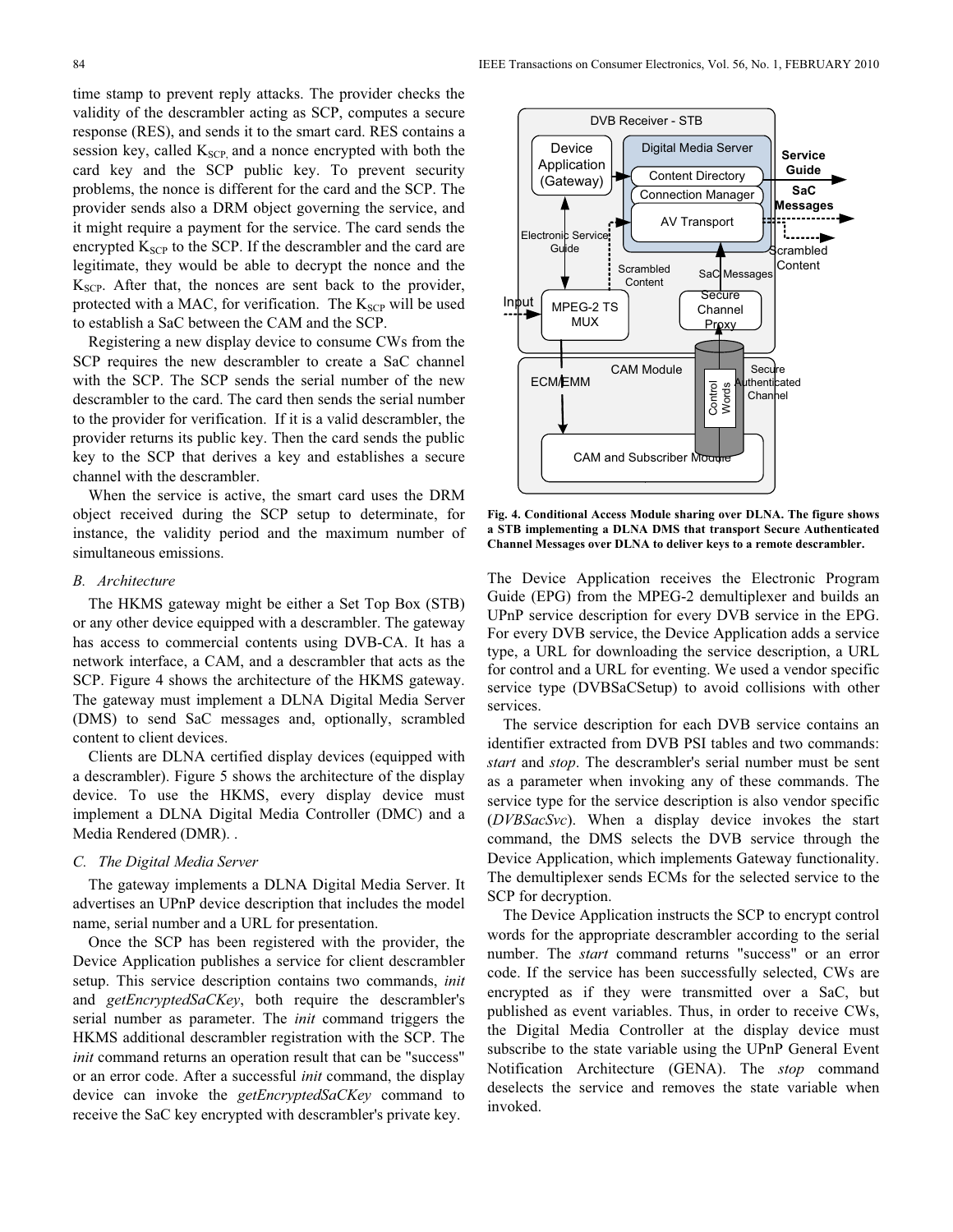problems, the nonce is different for the card and the SCP. The provider sends also a DRM object governing the service, and it might require a payment for the service. The card sends the encrypted  $K_{\text{SCP}}$  to the SCP. If the descrambler and the card are legitimate, they would be able to decrypt the nonce and the  $K<sub>SCP</sub>$ . After that, the nonces are sent back to the provider, protected with a MAC, for verification. The  $K_{\text{SCP}}$  will be used to establish a SaC between the CAM and the SCP.

Registering a new display device to consume CWs from the SCP requires the new descrambler to create a SaC channel with the SCP. The SCP sends the serial number of the new descrambler to the card. The card then sends the serial number to the provider for verification. If it is a valid descrambler, the provider returns its public key. Then the card sends the public key to the SCP that derives a key and establishes a secure channel with the descrambler.

When the service is active, the smart card uses the DRM object received during the SCP setup to determinate, for instance, the validity period and the maximum number of simultaneous emissions.

# *B. Architecture*

The HKMS gateway might be either a Set Top Box (STB) or any other device equipped with a descrambler. The gateway has access to commercial contents using DVB-CA. It has a network interface, a CAM, and a descrambler that acts as the SCP. Figure 4 shows the architecture of the HKMS gateway. The gateway must implement a DLNA Digital Media Server (DMS) to send SaC messages and, optionally, scrambled content to client devices.

Clients are DLNA certified display devices (equipped with a descrambler). Figure 5 shows the architecture of the display device. To use the HKMS, every display device must implement a DLNA Digital Media Controller (DMC) and a Media Rendered (DMR). .

# *C. The Digital Media Server*

The gateway implements a DLNA Digital Media Server. It advertises an UPnP device description that includes the model name, serial number and a URL for presentation.

Once the SCP has been registered with the provider, the Device Application publishes a service for client descrambler setup. This service description contains two commands, *init* and *getEncryptedSaCKey*, both require the descrambler's serial number as parameter. The *init* command triggers the HKMS additional descrambler registration with the SCP. The *init* command returns an operation result that can be "success" or an error code. After a successful *init* command, the display device can invoke the *getEncryptedSaCKey* command to receive the SaC key encrypted with descrambler's private key.



**Fig. 4. Conditional Access Module sharing over DLNA. The figure shows a STB implementing a DLNA DMS that transport Secure Authenticated Channel Messages over DLNA to deliver keys to a remote descrambler.** 

The Device Application receives the Electronic Program Guide (EPG) from the MPEG-2 demultiplexer and builds an UPnP service description for every DVB service in the EPG. For every DVB service, the Device Application adds a service type, a URL for downloading the service description, a URL for control and a URL for eventing. We used a vendor specific service type (DVBSaCSetup) to avoid collisions with other services.

The service description for each DVB service contains an identifier extracted from DVB PSI tables and two commands: *start* and *stop*. The descrambler's serial number must be sent as a parameter when invoking any of these commands. The service type for the service description is also vendor specific (*DVBSacSvc*). When a display device invokes the start command, the DMS selects the DVB service through the Device Application, which implements Gateway functionality. The demultiplexer sends ECMs for the selected service to the SCP for decryption.

The Device Application instructs the SCP to encrypt control words for the appropriate descrambler according to the serial number. The *start* command returns "success" or an error code. If the service has been successfully selected, CWs are encrypted as if they were transmitted over a SaC, but published as event variables. Thus, in order to receive CWs, the Digital Media Controller at the display device must subscribe to the state variable using the UPnP General Event Notification Architecture (GENA). The *stop* command deselects the service and removes the state variable when invoked.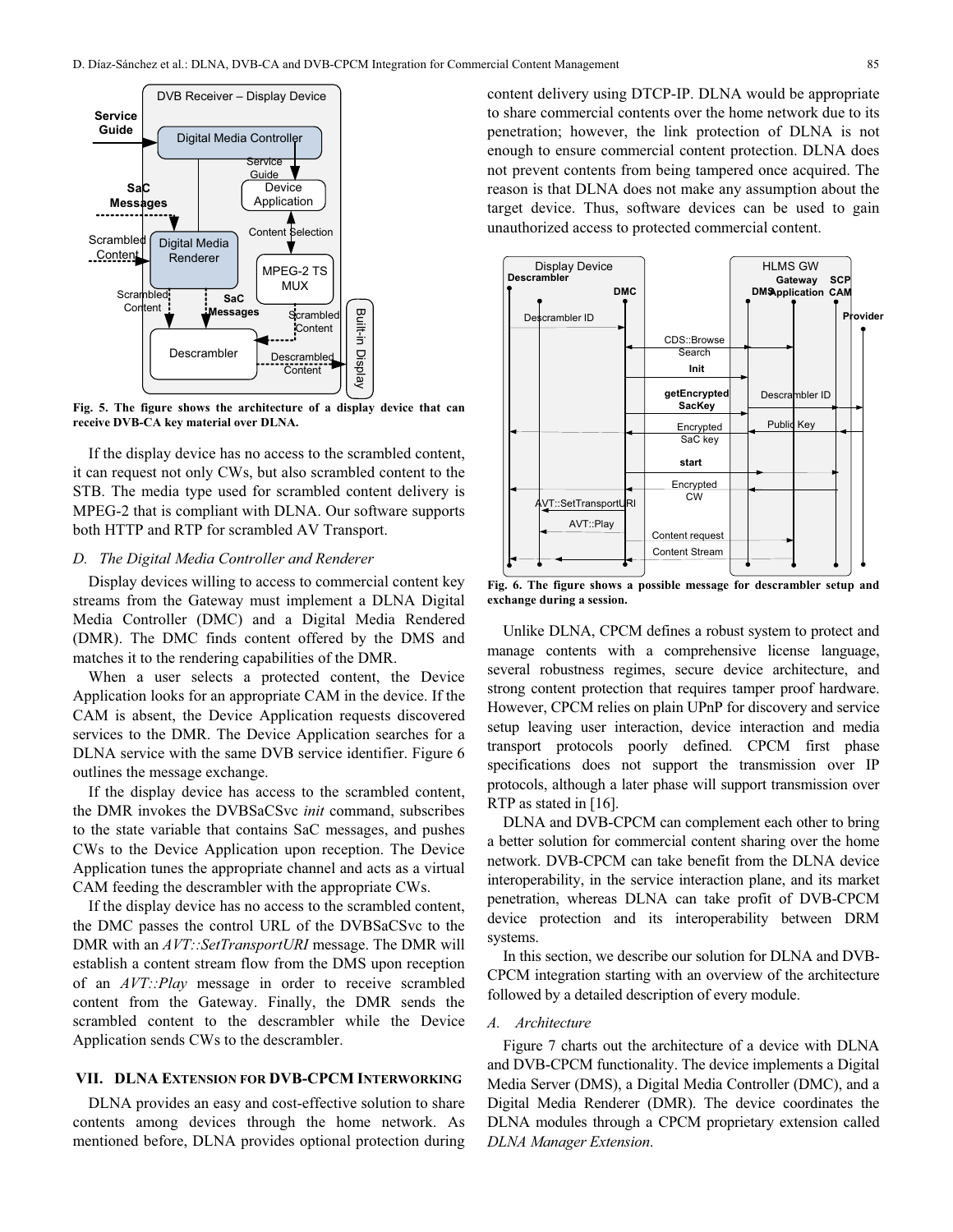

**Fig. 5. The figure shows the architecture of a display device that can receive DVB-CA key material over DLNA.** 

If the display device has no access to the scrambled content, it can request not only CWs, but also scrambled content to the STB. The media type used for scrambled content delivery is MPEG-2 that is compliant with DLNA. Our software supports both HTTP and RTP for scrambled AV Transport.

# *D. The Digital Media Controller and Renderer*

Display devices willing to access to commercial content key streams from the Gateway must implement a DLNA Digital Media Controller (DMC) and a Digital Media Rendered (DMR). The DMC finds content offered by the DMS and matches it to the rendering capabilities of the DMR.

When a user selects a protected content, the Device Application looks for an appropriate CAM in the device. If the CAM is absent, the Device Application requests discovered services to the DMR. The Device Application searches for a DLNA service with the same DVB service identifier. Figure 6 outlines the message exchange.

If the display device has access to the scrambled content, the DMR invokes the DVBSaCSvc *init* command, subscribes to the state variable that contains SaC messages, and pushes CWs to the Device Application upon reception. The Device Application tunes the appropriate channel and acts as a virtual CAM feeding the descrambler with the appropriate CWs.

If the display device has no access to the scrambled content, the DMC passes the control URL of the DVBSaCSvc to the DMR with an *AVT::SetTransportURI* message. The DMR will establish a content stream flow from the DMS upon reception of an *AVT::Play* message in order to receive scrambled content from the Gateway. Finally, the DMR sends the scrambled content to the descrambler while the Device Application sends CWs to the descrambler.

# **VII. DLNA EXTENSION FOR DVB-CPCM INTERWORKING**

DLNA provides an easy and cost-effective solution to share contents among devices through the home network. As mentioned before, DLNA provides optional protection during

content delivery using DTCP-IP. DLNA would be appropriate to share commercial contents over the home network due to its penetration; however, the link protection of DLNA is not enough to ensure commercial content protection. DLNA does not prevent contents from being tampered once acquired. The reason is that DLNA does not make any assumption about the target device. Thus, software devices can be used to gain unauthorized access to protected commercial content.



**Fig. 6. The figure shows a possible message for descrambler setup and exchange during a session.** 

Unlike DLNA, CPCM defines a robust system to protect and manage contents with a comprehensive license language, several robustness regimes, secure device architecture, and strong content protection that requires tamper proof hardware. However, CPCM relies on plain UPnP for discovery and service setup leaving user interaction, device interaction and media transport protocols poorly defined. CPCM first phase specifications does not support the transmission over IP protocols, although a later phase will support transmission over RTP as stated in [16].

DLNA and DVB-CPCM can complement each other to bring a better solution for commercial content sharing over the home network. DVB-CPCM can take benefit from the DLNA device interoperability, in the service interaction plane, and its market penetration, whereas DLNA can take profit of DVB-CPCM device protection and its interoperability between DRM systems.

In this section, we describe our solution for DLNA and DVB-CPCM integration starting with an overview of the architecture followed by a detailed description of every module.

#### *A. Architecture*

Figure 7 charts out the architecture of a device with DLNA and DVB-CPCM functionality. The device implements a Digital Media Server (DMS), a Digital Media Controller (DMC), and a Digital Media Renderer (DMR). The device coordinates the DLNA modules through a CPCM proprietary extension called *DLNA Manager Extension*.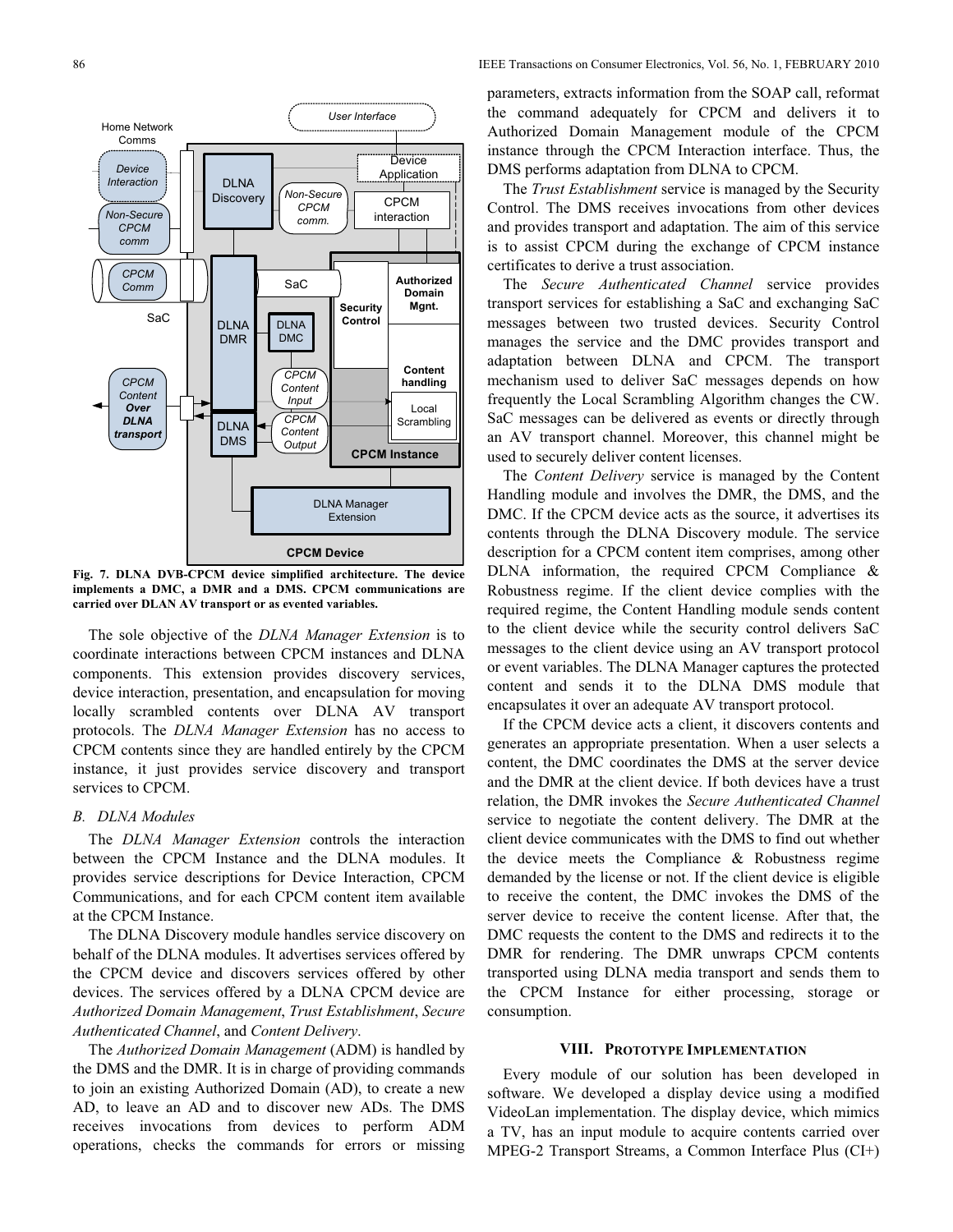

**Fig. 7. DLNA DVB-CPCM device simplified architecture. The device implements a DMC, a DMR and a DMS. CPCM communications are carried over DLAN AV transport or as evented variables.** 

The sole objective of the *DLNA Manager Extension* is to coordinate interactions between CPCM instances and DLNA components. This extension provides discovery services, device interaction, presentation, and encapsulation for moving locally scrambled contents over DLNA AV transport protocols. The *DLNA Manager Extension* has no access to CPCM contents since they are handled entirely by the CPCM instance, it just provides service discovery and transport services to CPCM.

### *B. DLNA Modules*

The *DLNA Manager Extension* controls the interaction between the CPCM Instance and the DLNA modules. It provides service descriptions for Device Interaction, CPCM Communications, and for each CPCM content item available at the CPCM Instance.

The DLNA Discovery module handles service discovery on behalf of the DLNA modules. It advertises services offered by the CPCM device and discovers services offered by other devices. The services offered by a DLNA CPCM device are *Authorized Domain Management*, *Trust Establishment*, *Secure Authenticated Channel*, and *Content Delivery*.

The *Authorized Domain Management* (ADM) is handled by the DMS and the DMR. It is in charge of providing commands to join an existing Authorized Domain (AD), to create a new AD, to leave an AD and to discover new ADs. The DMS receives invocations from devices to perform ADM operations, checks the commands for errors or missing

parameters, extracts information from the SOAP call, reformat the command adequately for CPCM and delivers it to Authorized Domain Management module of the CPCM instance through the CPCM Interaction interface. Thus, the DMS performs adaptation from DLNA to CPCM.

The *Trust Establishment* service is managed by the Security Control. The DMS receives invocations from other devices and provides transport and adaptation. The aim of this service is to assist CPCM during the exchange of CPCM instance certificates to derive a trust association.

The *Secure Authenticated Channel* service provides transport services for establishing a SaC and exchanging SaC messages between two trusted devices. Security Control manages the service and the DMC provides transport and adaptation between DLNA and CPCM. The transport mechanism used to deliver SaC messages depends on how frequently the Local Scrambling Algorithm changes the CW. SaC messages can be delivered as events or directly through an AV transport channel. Moreover, this channel might be used to securely deliver content licenses.

The *Content Delivery* service is managed by the Content Handling module and involves the DMR, the DMS, and the DMC. If the CPCM device acts as the source, it advertises its contents through the DLNA Discovery module. The service description for a CPCM content item comprises, among other DLNA information, the required CPCM Compliance & Robustness regime. If the client device complies with the required regime, the Content Handling module sends content to the client device while the security control delivers SaC messages to the client device using an AV transport protocol or event variables. The DLNA Manager captures the protected content and sends it to the DLNA DMS module that encapsulates it over an adequate AV transport protocol.

If the CPCM device acts a client, it discovers contents and generates an appropriate presentation. When a user selects a content, the DMC coordinates the DMS at the server device and the DMR at the client device. If both devices have a trust relation, the DMR invokes the *Secure Authenticated Channel* service to negotiate the content delivery. The DMR at the client device communicates with the DMS to find out whether the device meets the Compliance & Robustness regime demanded by the license or not. If the client device is eligible to receive the content, the DMC invokes the DMS of the server device to receive the content license. After that, the DMC requests the content to the DMS and redirects it to the DMR for rendering. The DMR unwraps CPCM contents transported using DLNA media transport and sends them to the CPCM Instance for either processing, storage or consumption.

# **VIII. PROTOTYPE IMPLEMENTATION**

Every module of our solution has been developed in software. We developed a display device using a modified VideoLan implementation. The display device, which mimics a TV, has an input module to acquire contents carried over MPEG-2 Transport Streams, a Common Interface Plus (CI+)